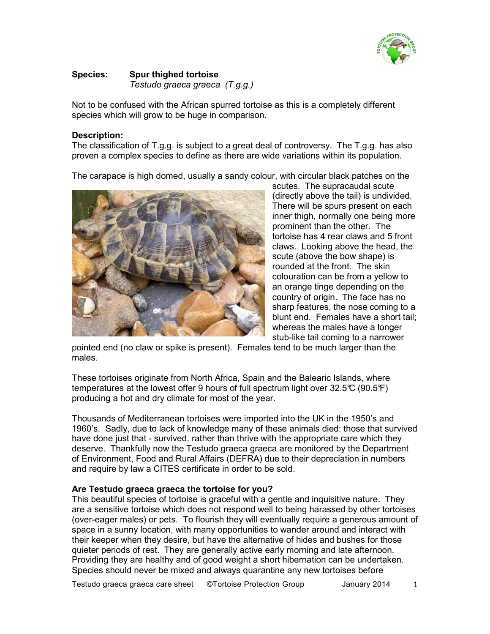

#### **Species:** Spur thighed tortoise Testudo graeca graeca (T.g.g.)

Not to be confused with the African spurred tortoise as this is a completely different species which will grow to be huge in comparison.

## **Description:**

The classification of T.g.g. is subject to a great deal of controversy. The T.g.g. has also proven a complex species to define as there are wide variations within its population.

The carapace is high domed, usually a sandy colour, with circular black patches on the



scutes. The supracaudal scute (directly above the tail) is undivided. There will be spurs present on each inner thigh, normally one being more prominent than the other. The tortoise has 4 rear claws and 5 front claws. Looking above the head, the scute (above the bow shape) is rounded at the front. The skin colouration can be from a yellow to an orange tinge depending on the country of origin. The face has no sharp features, the nose coming to a blunt end. Females have a short tail: whereas the males have a longer stub-like tail coming to a narrower

pointed end (no claw or spike is present). Females tend to be much larger than the males.

These tortoises originate from North Africa, Spain and the Balearic Islands, where temperatures at the lowest offer 9 hours of full spectrum light over 32.5℃ (90.5°F) producing a hot and dry climate for most of the year.

Thousands of Mediterranean tortoises were imported into the UK in the 1950's and 1960's. Sadly, due to lack of knowledge many of these animals died: those that survived have done just that - survived, rather than thrive with the appropriate care which they deserve. Thankfully now the Testudo graeca graeca are monitored by the Department of Environment, Food and Rural Affairs (DEFRA) due to their depreciation in numbers and require by law a CITES certificate in order to be sold.

## Are Testudo graeca graeca the tortoise for you?

This beautiful species of tortoise is graceful with a gentle and inquisitive nature. They are a sensitive tortoise which does not respond well to being harassed by other tortoises (over-eager males) or pets. To flourish they will eventually require a generous amount of space in a sunny location, with many opportunities to wander around and interact with their keeper when they desire, but have the alternative of hides and bushes for those quieter periods of rest. They are generally active early morning and late afternoon. Providing they are healthy and of good weight a short hibernation can be undertaken. Species should never be mixed and always quarantine any new tortoises before

Testudo graeca graeca care sheet ©Tortoise Protection Group January 2014  $\mathbf{1}$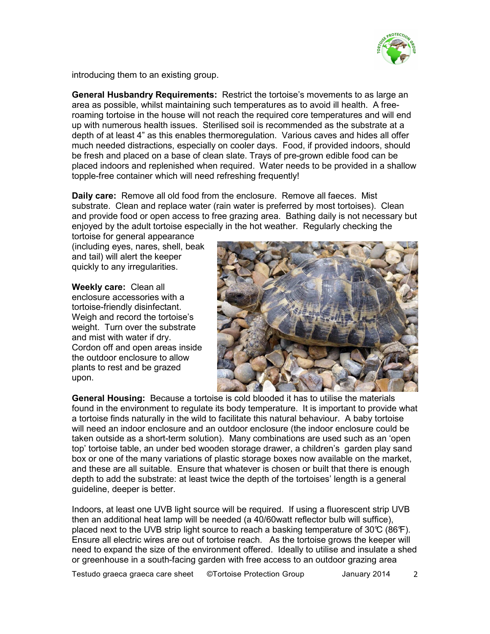

introducing them to an existing group.

**General Husbandry Requirements:** Restrict the tortoise's movements to as large an area as possible, whilst maintaining such temperatures as to avoid ill health. A freeroaming tortoise in the house will not reach the required core temperatures and will end up with numerous health issues. Sterilised soil is recommended as the substrate at a depth of at least 4" as this enables thermoregulation. Various caves and hides all offer much needed distractions, especially on cooler days. Food, if provided indoors, should be fresh and placed on a base of clean slate. Trays of pre-grown edible food can be placed indoors and replenished when required. Water needs to be provided in a shallow topple-free container which will need refreshing frequently!

**Daily care:** Remove all old food from the enclosure. Remove all faeces. Mist substrate. Clean and replace water (rain water is preferred by most tortoises). Clean and provide food or open access to free grazing area. Bathing daily is not necessary but enjoyed by the adult tortoise especially in the hot weather. Regularly checking the

tortoise for general appearance (including eyes, nares, shell, beak and tail) will alert the keeper quickly to any irregularities.

Weekly care: Clean all enclosure accessories with a tortoise-friendly disinfectant. Weigh and record the tortoise's weight. Turn over the substrate and mist with water if dry. Cordon off and open areas inside the outdoor enclosure to allow plants to rest and be grazed upon.



General Housing: Because a tortoise is cold blooded it has to utilise the materials found in the environment to regulate its body temperature. It is important to provide what a tortoise finds naturally in the wild to facilitate this natural behaviour. A baby tortoise will need an indoor enclosure and an outdoor enclosure (the indoor enclosure could be taken outside as a short-term solution). Many combinations are used such as an 'open top' tortoise table, an under bed wooden storage drawer, a children's garden play sand box or one of the many variations of plastic storage boxes now available on the market. and these are all suitable. Ensure that whatever is chosen or built that there is enough depth to add the substrate: at least twice the depth of the tortoises' length is a general quideline, deeper is better.

Indoors, at least one UVB light source will be required. If using a fluorescent strip UVB then an additional heat lamp will be needed (a 40/60watt reflector bulb will suffice). placed next to the UVB strip light source to reach a basking temperature of  $30\degree$  (86°F). Ensure all electric wires are out of tortoise reach. As the tortoise grows the keeper will need to expand the size of the environment offered. Ideally to utilise and insulate a shed or greenhouse in a south-facing garden with free access to an outdoor grazing area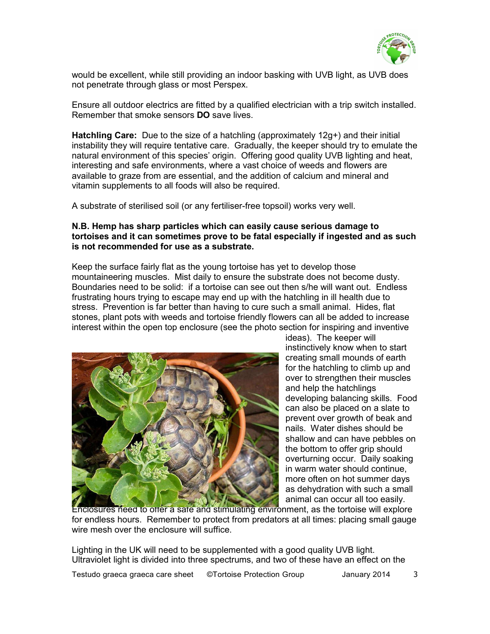

would be excellent, while still providing an indoor basking with UVB light, as UVB does not penetrate through glass or most Perspex.

Ensure all outdoor electrics are fitted by a qualified electrician with a trip switch installed. Remember that smoke sensors **DO** save lives.

**Hatchling Care:** Due to the size of a hatchling (approximately  $12q+$ ) and their initial instability they will require tentative care. Gradually, the keeper should try to emulate the natural environment of this species' origin. Offering good quality UVB lighting and heat, interesting and safe environments, where a vast choice of weeds and flowers are available to graze from are essential, and the addition of calcium and mineral and vitamin supplements to all foods will also be required.

A substrate of sterilised soil (or any fertiliser-free topsoil) works very well.

# N.B. Hemp has sharp particles which can easily cause serious damage to tortoises and it can sometimes prove to be fatal especially if ingested and as such is not recommended for use as a substrate.

Keep the surface fairly flat as the young tortoise has yet to develop those mountaineering muscles. Mist daily to ensure the substrate does not become dusty. Boundaries need to be solid: if a tortoise can see out then s/he will want out. Endless frustrating hours trying to escape may end up with the hatchling in ill health due to stress. Prevention is far better than having to cure such a small animal. Hides, flat stones, plant pots with weeds and tortoise friendly flowers can all be added to increase interest within the open top enclosure (see the photo section for inspiring and inventive



ideas). The keeper will instinctively know when to start creating small mounds of earth for the hatchling to climb up and over to strengthen their muscles and help the hatchlings developing balancing skills. Food can also be placed on a slate to prevent over growth of beak and nails. Water dishes should be shallow and can have pebbles on the bottom to offer grip should overturning occur. Daily soaking in warm water should continue. more often on hot summer days as dehydration with such a small animal can occur all too easily.

Enclosures need to otter a sate and stimulating environment, as the tortoise will explore for endless hours. Remember to protect from predators at all times: placing small gauge wire mesh over the enclosure will suffice.

Lighting in the UK will need to be supplemented with a good quality UVB light. Ultraviolet light is divided into three spectrums, and two of these have an effect on the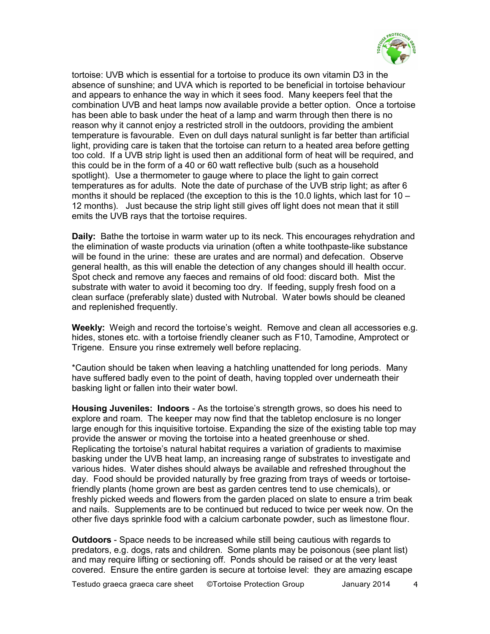

tortoise: UVB which is essential for a tortoise to produce its own vitamin D3 in the absence of sunshine; and UVA which is reported to be beneficial in tortoise behaviour and appears to enhance the way in which it sees food. Many keepers feel that the combination UVB and heat lamps now available provide a better option. Once a tortoise has been able to bask under the heat of a lamp and warm through then there is no reason why it cannot enjoy a restricted stroll in the outdoors, providing the ambient temperature is favourable. Even on dull days natural sunlight is far better than artificial light, providing care is taken that the tortoise can return to a heated area before getting too cold. If a UVB strip light is used then an additional form of heat will be reguired, and this could be in the form of a 40 or 60 watt reflective bulb (such as a household spotlight). Use a thermometer to gauge where to place the light to gain correct temperatures as for adults. Note the date of purchase of the UVB strip light; as after 6 months it should be replaced (the exception to this is the 10.0 lights, which last for 10 – 12 months). Just because the strip light still gives off light does not mean that it still emits the UVB rays that the tortoise requires.

**Daily:** Bathe the tortoise in warm water up to its neck. This encourages rehydration and the elimination of waste products via urination (often a white toothpaste-like substance will be found in the urine: these are urates and are normal) and defecation. Observe general health, as this will enable the detection of any changes should ill health occur. Spot check and remove any faeces and remains of old food: discard both. Mist the substrate with water to avoid it becoming too dry. If feeding, supply fresh food on a clean surface (preferably slate) dusted with Nutrobal. Water bowls should be cleaned and replenished frequently.

Weekly: Weigh and record the tortoise's weight. Remove and clean all accessories e.g. hides, stones etc. with a tortoise friendly cleaner such as F10, Tamodine, Amprotect or Trigene. Ensure you rinse extremely well before replacing.

\*Caution should be taken when leaving a hatchling unattended for long periods. Many have suffered badly even to the point of death, having toppled over underneath their basking light or fallen into their water bowl.

**Housing Juveniles: Indoors** - As the tortoise's strength grows, so does his need to explore and roam. The keeper may now find that the tabletop enclosure is no longer large enough for this inguisitive tortoise. Expanding the size of the existing table top may provide the answer or moving the tortoise into a heated greenhouse or shed. Replicating the tortoise's natural habitat requires a variation of gradients to maximise basking under the UVB heat lamp, an increasing range of substrates to investigate and various hides. Water dishes should always be available and refreshed throughout the day. Food should be provided naturally by free grazing from trays of weeds or tortoisefriendly plants (home grown are best as garden centres tend to use chemicals), or freshly picked weeds and flowers from the garden placed on slate to ensure a trim beak and nails. Supplements are to be continued but reduced to twice per week now. On the other five days sprinkle food with a calcium carbonate powder, such as limestone flour.

**Outdoors** - Space needs to be increased while still being cautious with regards to predators, e.g. dogs, rats and children. Some plants may be poisonous (see plant list) and may require lifting or sectioning off. Ponds should be raised or at the very least covered. Ensure the entire garden is secure at tortoise level: they are amazing escape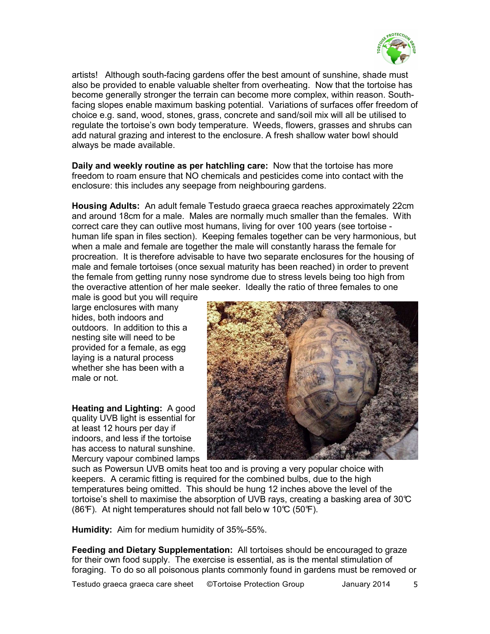

artists! Although south-facing gardens offer the best amount of sunshine, shade must also be provided to enable valuable shelter from overheating. Now that the tortoise has become generally stronger the terrain can become more complex, within reason. Southfacing slopes enable maximum basking potential. Variations of surfaces offer freedom of choice e.g. sand, wood, stones, grass, concrete and sand/soil mix will all be utilised to requiate the tortoise's own body temperature. Weeds, flowers, grasses and shrubs can add natural grazing and interest to the enclosure. A fresh shallow water bowl should always be made available.

Daily and weekly routine as per hatchling care: Now that the tortoise has more freedom to roam ensure that NO chemicals and pesticides come into contact with the enclosure: this includes any seepage from neighbouring gardens.

Housing Adults: An adult female Testudo graeca graeca reaches approximately 22cm and around 18cm for a male. Males are normally much smaller than the females. With correct care they can outlive most humans, living for over 100 years (see tortoise human life span in files section). Keeping females together can be very harmonious, but when a male and female are together the male will constantly harass the female for procreation. It is therefore advisable to have two separate enclosures for the housing of male and female tortoises (once sexual maturity has been reached) in order to prevent the female from getting runny nose syndrome due to stress levels being too high from the overactive attention of her male seeker. Ideally the ratio of three females to one

male is good but you will require large enclosures with many hides, both indoors and outdoors. In addition to this a nesting site will need to be provided for a female, as egg laving is a natural process whether she has been with a male or not.

Heating and Lighting: A good quality UVB light is essential for at least 12 hours per day if indoors, and less if the tortoise has access to natural sunshine. Mercury vapour combined lamps



such as Powersun UVB omits heat too and is proving a very popular choice with keepers. A ceramic fitting is required for the combined bulbs, due to the high temperatures being omitted. This should be hung 12 inches above the level of the tortoise's shell to maximise the absorption of UVB rays, creating a basking area of 30 $\degree$ C (86 F). At night temperatures should not fall below 10°C (50°F).

Humidity: Aim for medium humidity of 35%-55%.

Feeding and Dietary Supplementation: All tortoises should be encouraged to graze for their own food supply. The exercise is essential, as is the mental stimulation of foraging. To do so all poisonous plants commonly found in gardens must be removed or

Testudo graeca graeca care sheet **CTortoise Protection Group** January 2014 5